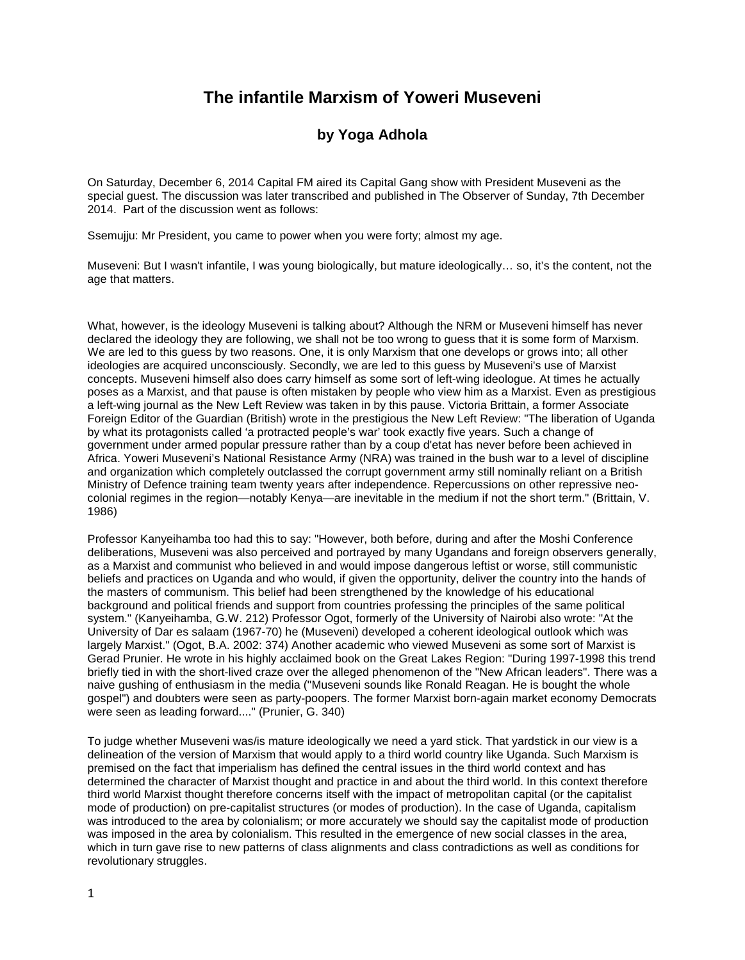## **The infantile Marxism of Yoweri Museveni**

### **by Yoga Adhola**

On Saturday, December 6, 2014 Capital FM aired its Capital Gang show with President Museveni as the special guest. The discussion was later transcribed and published in The Observer of Sunday, 7th December 2014. Part of the discussion went as follows:

Ssemujju: Mr President, you came to power when you were forty; almost my age.

Museveni: But I wasn't infantile, I was young biologically, but mature ideologically… so, it's the content, not the age that matters.

What, however, is the ideology Museveni is talking about? Although the NRM or Museveni himself has never declared the ideology they are following, we shall not be too wrong to guess that it is some form of Marxism. We are led to this guess by two reasons. One, it is only Marxism that one develops or grows into; all other ideologies are acquired unconsciously. Secondly, we are led to this guess by Museveni's use of Marxist concepts. Museveni himself also does carry himself as some sort of left-wing ideologue. At times he actually poses as a Marxist, and that pause is often mistaken by people who view him as a Marxist. Even as prestigious a left-wing journal as the New Left Review was taken in by this pause. Victoria Brittain, a former Associate Foreign Editor of the Guardian (British) wrote in the prestigious the New Left Review: "The liberation of Uganda by what its protagonists called 'a protracted people's war' took exactly five years. Such a change of government under armed popular pressure rather than by a coup d'etat has never before been achieved in Africa. Yoweri Museveni's National Resistance Army (NRA) was trained in the bush war to a level of discipline and organization which completely outclassed the corrupt government army still nominally reliant on a British Ministry of Defence training team twenty years after independence. Repercussions on other repressive neocolonial regimes in the region—notably Kenya—are inevitable in the medium if not the short term." (Brittain, V. 1986)

Professor Kanyeihamba too had this to say: "However, both before, during and after the Moshi Conference deliberations, Museveni was also perceived and portrayed by many Ugandans and foreign observers generally, as a Marxist and communist who believed in and would impose dangerous leftist or worse, still communistic beliefs and practices on Uganda and who would, if given the opportunity, deliver the country into the hands of the masters of communism. This belief had been strengthened by the knowledge of his educational background and political friends and support from countries professing the principles of the same political system." (Kanyeihamba, G.W. 212) Professor Ogot, formerly of the University of Nairobi also wrote: "At the University of Dar es salaam (1967-70) he (Museveni) developed a coherent ideological outlook which was largely Marxist." (Ogot, B.A. 2002: 374) Another academic who viewed Museveni as some sort of Marxist is Gerad Prunier. He wrote in his highly acclaimed book on the Great Lakes Region: "During 1997-1998 this trend briefly tied in with the short-lived craze over the alleged phenomenon of the "New African leaders". There was a naive gushing of enthusiasm in the media ("Museveni sounds like Ronald Reagan. He is bought the whole gospel") and doubters were seen as party-poopers. The former Marxist born-again market economy Democrats were seen as leading forward...." (Prunier, G. 340)

To judge whether Museveni was/is mature ideologically we need a yard stick. That yardstick in our view is a delineation of the version of Marxism that would apply to a third world country like Uganda. Such Marxism is premised on the fact that imperialism has defined the central issues in the third world context and has determined the character of Marxist thought and practice in and about the third world. In this context therefore third world Marxist thought therefore concerns itself with the impact of metropolitan capital (or the capitalist mode of production) on pre-capitalist structures (or modes of production). In the case of Uganda, capitalism was introduced to the area by colonialism; or more accurately we should say the capitalist mode of production was imposed in the area by colonialism. This resulted in the emergence of new social classes in the area, which in turn gave rise to new patterns of class alignments and class contradictions as well as conditions for revolutionary struggles.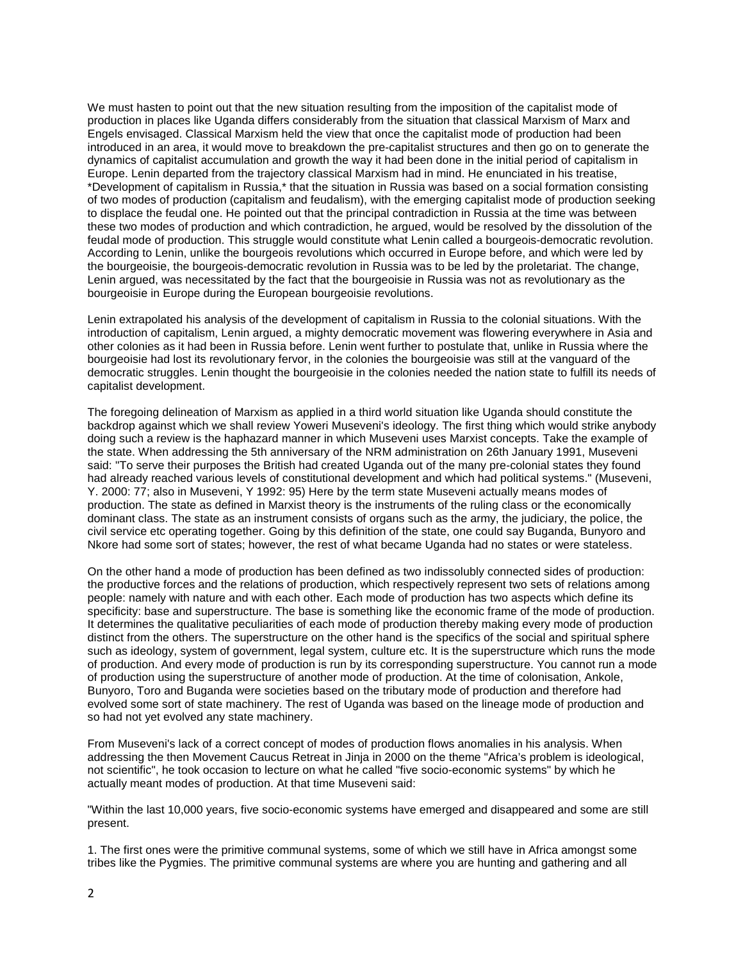We must hasten to point out that the new situation resulting from the imposition of the capitalist mode of production in places like Uganda differs considerably from the situation that classical Marxism of Marx and Engels envisaged. Classical Marxism held the view that once the capitalist mode of production had been introduced in an area, it would move to breakdown the pre-capitalist structures and then go on to generate the dynamics of capitalist accumulation and growth the way it had been done in the initial period of capitalism in Europe. Lenin departed from the trajectory classical Marxism had in mind. He enunciated in his treatise, \*Development of capitalism in Russia,\* that the situation in Russia was based on a social formation consisting of two modes of production (capitalism and feudalism), with the emerging capitalist mode of production seeking to displace the feudal one. He pointed out that the principal contradiction in Russia at the time was between these two modes of production and which contradiction, he argued, would be resolved by the dissolution of the feudal mode of production. This struggle would constitute what Lenin called a bourgeois-democratic revolution. According to Lenin, unlike the bourgeois revolutions which occurred in Europe before, and which were led by the bourgeoisie, the bourgeois-democratic revolution in Russia was to be led by the proletariat. The change, Lenin argued, was necessitated by the fact that the bourgeoisie in Russia was not as revolutionary as the bourgeoisie in Europe during the European bourgeoisie revolutions.

Lenin extrapolated his analysis of the development of capitalism in Russia to the colonial situations. With the introduction of capitalism, Lenin argued, a mighty democratic movement was flowering everywhere in Asia and other colonies as it had been in Russia before. Lenin went further to postulate that, unlike in Russia where the bourgeoisie had lost its revolutionary fervor, in the colonies the bourgeoisie was still at the vanguard of the democratic struggles. Lenin thought the bourgeoisie in the colonies needed the nation state to fulfill its needs of capitalist development.

The foregoing delineation of Marxism as applied in a third world situation like Uganda should constitute the backdrop against which we shall review Yoweri Museveni's ideology. The first thing which would strike anybody doing such a review is the haphazard manner in which Museveni uses Marxist concepts. Take the example of the state. When addressing the 5th anniversary of the NRM administration on 26th January 1991, Museveni said: "To serve their purposes the British had created Uganda out of the many pre-colonial states they found had already reached various levels of constitutional development and which had political systems." (Museveni, Y. 2000: 77; also in Museveni, Y 1992: 95) Here by the term state Museveni actually means modes of production. The state as defined in Marxist theory is the instruments of the ruling class or the economically dominant class. The state as an instrument consists of organs such as the army, the judiciary, the police, the civil service etc operating together. Going by this definition of the state, one could say Buganda, Bunyoro and Nkore had some sort of states; however, the rest of what became Uganda had no states or were stateless.

On the other hand a mode of production has been defined as two indissolubly connected sides of production: the productive forces and the relations of production, which respectively represent two sets of relations among people: namely with nature and with each other. Each mode of production has two aspects which define its specificity: base and superstructure. The base is something like the economic frame of the mode of production. It determines the qualitative peculiarities of each mode of production thereby making every mode of production distinct from the others. The superstructure on the other hand is the specifics of the social and spiritual sphere such as ideology, system of government, legal system, culture etc. It is the superstructure which runs the mode of production. And every mode of production is run by its corresponding superstructure. You cannot run a mode of production using the superstructure of another mode of production. At the time of colonisation, Ankole, Bunyoro, Toro and Buganda were societies based on the tributary mode of production and therefore had evolved some sort of state machinery. The rest of Uganda was based on the lineage mode of production and so had not yet evolved any state machinery.

From Museveni's lack of a correct concept of modes of production flows anomalies in his analysis. When addressing the then Movement Caucus Retreat in Jinja in 2000 on the theme "Africa's problem is ideological, not scientific", he took occasion to lecture on what he called "five socio-economic systems" by which he actually meant modes of production. At that time Museveni said:

"Within the last 10,000 years, five socio-economic systems have emerged and disappeared and some are still present.

1. The first ones were the primitive communal systems, some of which we still have in Africa amongst some tribes like the Pygmies. The primitive communal systems are where you are hunting and gathering and all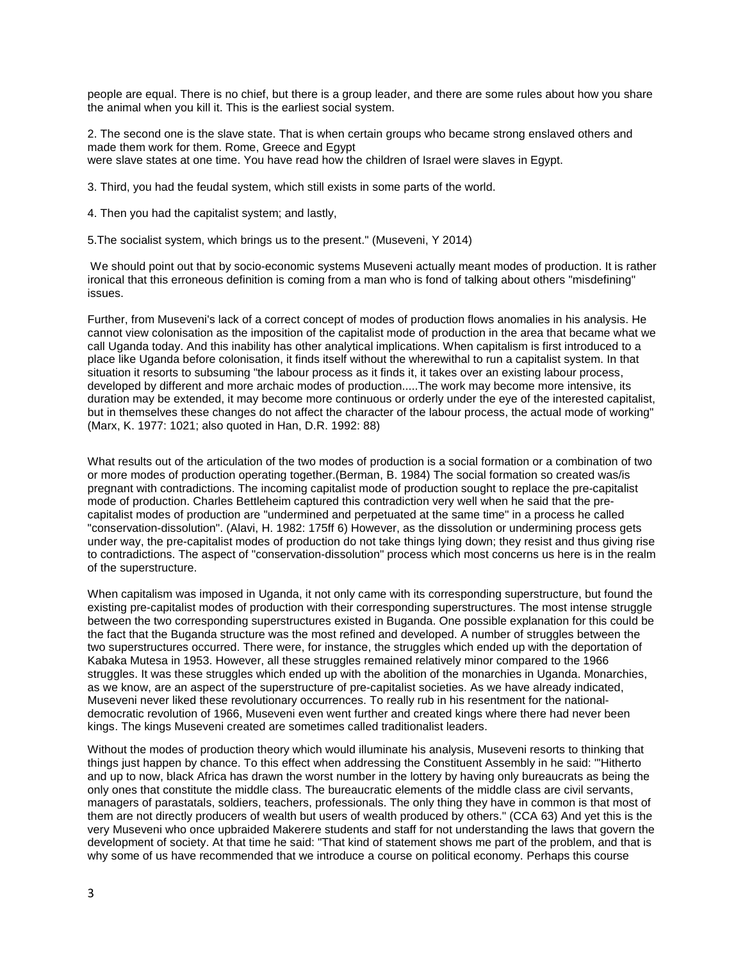people are equal. There is no chief, but there is a group leader, and there are some rules about how you share the animal when you kill it. This is the earliest social system.

2. The second one is the slave state. That is when certain groups who became strong enslaved others and made them work for them. Rome, Greece and Egypt were slave states at one time. You have read how the children of Israel were slaves in Egypt.

3. Third, you had the feudal system, which still exists in some parts of the world.

4. Then you had the capitalist system; and lastly,

5.The socialist system, which brings us to the present." (Museveni, Y 2014)

We should point out that by socio-economic systems Museveni actually meant modes of production. It is rather ironical that this erroneous definition is coming from a man who is fond of talking about others "misdefining" issues.

Further, from Museveni's lack of a correct concept of modes of production flows anomalies in his analysis. He cannot view colonisation as the imposition of the capitalist mode of production in the area that became what we call Uganda today. And this inability has other analytical implications. When capitalism is first introduced to a place like Uganda before colonisation, it finds itself without the wherewithal to run a capitalist system. In that situation it resorts to subsuming "the labour process as it finds it, it takes over an existing labour process, developed by different and more archaic modes of production.....The work may become more intensive, its duration may be extended, it may become more continuous or orderly under the eye of the interested capitalist, but in themselves these changes do not affect the character of the labour process, the actual mode of working" (Marx, K. 1977: 1021; also quoted in Han, D.R. 1992: 88)

What results out of the articulation of the two modes of production is a social formation or a combination of two or more modes of production operating together.(Berman, B. 1984) The social formation so created was/is pregnant with contradictions. The incoming capitalist mode of production sought to replace the pre-capitalist mode of production. Charles Bettleheim captured this contradiction very well when he said that the precapitalist modes of production are "undermined and perpetuated at the same time" in a process he called "conservation-dissolution". (Alavi, H. 1982: 175ff 6) However, as the dissolution or undermining process gets under way, the pre-capitalist modes of production do not take things lying down; they resist and thus giving rise to contradictions. The aspect of "conservation-dissolution" process which most concerns us here is in the realm of the superstructure.

When capitalism was imposed in Uganda, it not only came with its corresponding superstructure, but found the existing pre-capitalist modes of production with their corresponding superstructures. The most intense struggle between the two corresponding superstructures existed in Buganda. One possible explanation for this could be the fact that the Buganda structure was the most refined and developed. A number of struggles between the two superstructures occurred. There were, for instance, the struggles which ended up with the deportation of Kabaka Mutesa in 1953. However, all these struggles remained relatively minor compared to the 1966 struggles. It was these struggles which ended up with the abolition of the monarchies in Uganda. Monarchies, as we know, are an aspect of the superstructure of pre-capitalist societies. As we have already indicated, Museveni never liked these revolutionary occurrences. To really rub in his resentment for the nationaldemocratic revolution of 1966, Museveni even went further and created kings where there had never been kings. The kings Museveni created are sometimes called traditionalist leaders.

Without the modes of production theory which would illuminate his analysis, Museveni resorts to thinking that things just happen by chance. To this effect when addressing the Constituent Assembly in he said: '"Hitherto and up to now, black Africa has drawn the worst number in the lottery by having only bureaucrats as being the only ones that constitute the middle class. The bureaucratic elements of the middle class are civil servants, managers of parastatals, soldiers, teachers, professionals. The only thing they have in common is that most of them are not directly producers of wealth but users of wealth produced by others." (CCA 63) And yet this is the very Museveni who once upbraided Makerere students and staff for not understanding the laws that govern the development of society. At that time he said: "That kind of statement shows me part of the problem, and that is why some of us have recommended that we introduce a course on political economy. Perhaps this course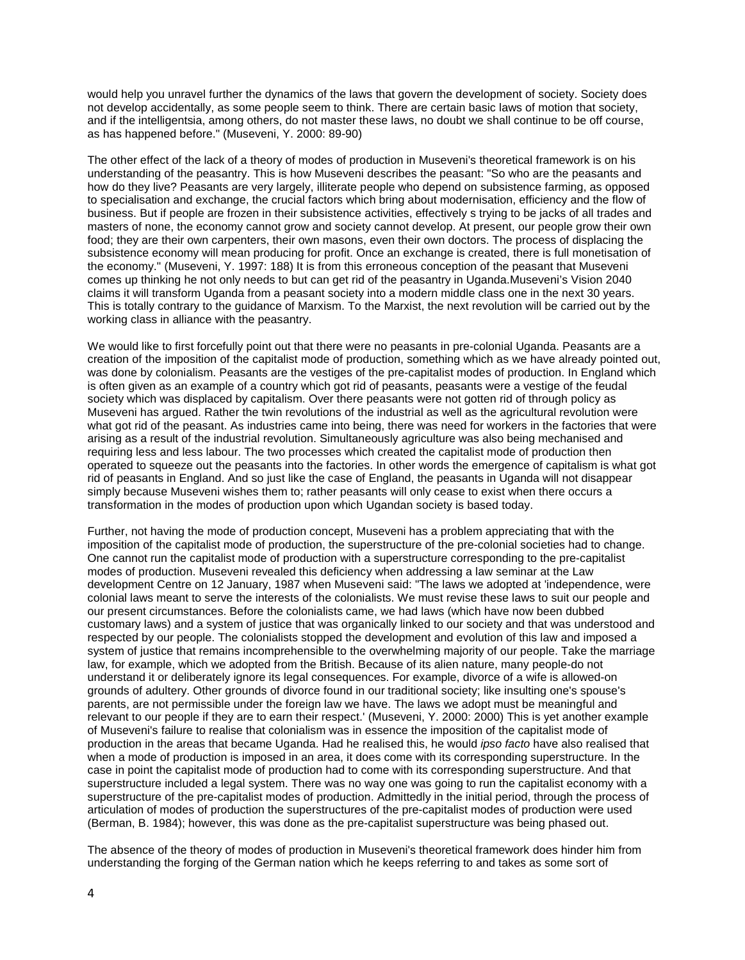would help you unravel further the dynamics of the laws that govern the development of society. Society does not develop accidentally, as some people seem to think. There are certain basic laws of motion that society, and if the intelligentsia, among others, do not master these laws, no doubt we shall continue to be off course, as has happened before." (Museveni, Y. 2000: 89-90)

The other effect of the lack of a theory of modes of production in Museveni's theoretical framework is on his understanding of the peasantry. This is how Museveni describes the peasant: "So who are the peasants and how do they live? Peasants are very largely, illiterate people who depend on subsistence farming, as opposed to specialisation and exchange, the crucial factors which bring about modernisation, efficiency and the flow of business. But if people are frozen in their subsistence activities, effectively s trying to be jacks of all trades and masters of none, the economy cannot grow and society cannot develop. At present, our people grow their own food; they are their own carpenters, their own masons, even their own doctors. The process of displacing the subsistence economy will mean producing for profit. Once an exchange is created, there is full monetisation of the economy." (Museveni, Y. 1997: 188) It is from this erroneous conception of the peasant that Museveni comes up thinking he not only needs to but can get rid of the peasantry in Uganda.Museveni's Vision 2040 claims it will transform Uganda from a peasant society into a modern middle class one in the next 30 years. This is totally contrary to the guidance of Marxism. To the Marxist, the next revolution will be carried out by the working class in alliance with the peasantry.

We would like to first forcefully point out that there were no peasants in pre-colonial Uganda. Peasants are a creation of the imposition of the capitalist mode of production, something which as we have already pointed out, was done by colonialism. Peasants are the vestiges of the pre-capitalist modes of production. In England which is often given as an example of a country which got rid of peasants, peasants were a vestige of the feudal society which was displaced by capitalism. Over there peasants were not gotten rid of through policy as Museveni has argued. Rather the twin revolutions of the industrial as well as the agricultural revolution were what got rid of the peasant. As industries came into being, there was need for workers in the factories that were arising as a result of the industrial revolution. Simultaneously agriculture was also being mechanised and requiring less and less labour. The two processes which created the capitalist mode of production then operated to squeeze out the peasants into the factories. In other words the emergence of capitalism is what got rid of peasants in England. And so just like the case of England, the peasants in Uganda will not disappear simply because Museveni wishes them to; rather peasants will only cease to exist when there occurs a transformation in the modes of production upon which Ugandan society is based today.

Further, not having the mode of production concept, Museveni has a problem appreciating that with the imposition of the capitalist mode of production, the superstructure of the pre-colonial societies had to change. One cannot run the capitalist mode of production with a superstructure corresponding to the pre-capitalist modes of production. Museveni revealed this deficiency when addressing a law seminar at the Law development Centre on 12 January, 1987 when Museveni said: "The laws we adopted at 'independence, were colonial laws meant to serve the interests of the colonialists. We must revise these laws to suit our people and our present circumstances. Before the colonialists came, we had laws (which have now been dubbed customary laws) and a system of justice that was organically linked to our society and that was understood and respected by our people. The colonialists stopped the development and evolution of this law and imposed a system of justice that remains incomprehensible to the overwhelming majority of our people. Take the marriage law, for example, which we adopted from the British. Because of its alien nature, many people-do not understand it or deliberately ignore its legal consequences. For example, divorce of a wife is allowed-on grounds of adultery. Other grounds of divorce found in our traditional society; like insulting one's spouse's parents, are not permissible under the foreign law we have. The laws we adopt must be meaningful and relevant to our people if they are to earn their respect.' (Museveni, Y. 2000: 2000) This is yet another example of Museveni's failure to realise that colonialism was in essence the imposition of the capitalist mode of production in the areas that became Uganda. Had he realised this, he would *ipso facto* have also realised that when a mode of production is imposed in an area, it does come with its corresponding superstructure. In the case in point the capitalist mode of production had to come with its corresponding superstructure. And that superstructure included a legal system. There was no way one was going to run the capitalist economy with a superstructure of the pre-capitalist modes of production. Admittedly in the initial period, through the process of articulation of modes of production the superstructures of the pre-capitalist modes of production were used (Berman, B. 1984); however, this was done as the pre-capitalist superstructure was being phased out.

The absence of the theory of modes of production in Museveni's theoretical framework does hinder him from understanding the forging of the German nation which he keeps referring to and takes as some sort of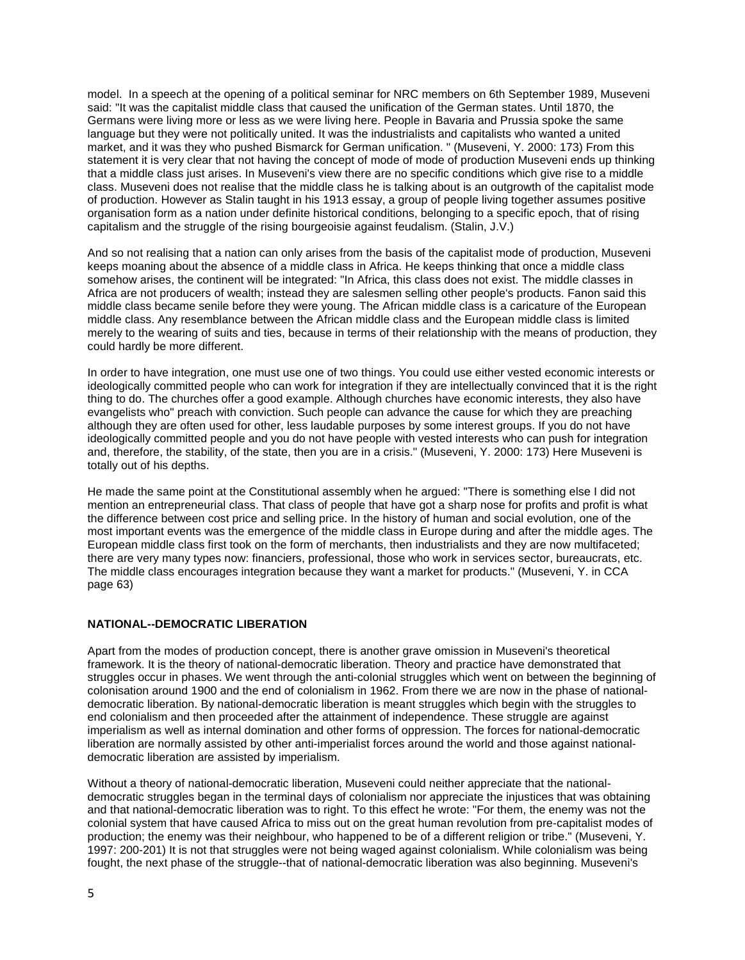model. In a speech at the opening of a political seminar for NRC members on 6th September 1989, Museveni said: "It was the capitalist middle class that caused the unification of the German states. Until 1870, the Germans were living more or less as we were living here. People in Bavaria and Prussia spoke the same language but they were not politically united. It was the industrialists and capitalists who wanted a united market, and it was they who pushed Bismarck for German unification. " (Museveni, Y. 2000: 173) From this statement it is very clear that not having the concept of mode of mode of production Museveni ends up thinking that a middle class just arises. In Museveni's view there are no specific conditions which give rise to a middle class. Museveni does not realise that the middle class he is talking about is an outgrowth of the capitalist mode of production. However as Stalin taught in his 1913 essay, a group of people living together assumes positive organisation form as a nation under definite historical conditions, belonging to a specific epoch, that of rising capitalism and the struggle of the rising bourgeoisie against feudalism. (Stalin, J.V.)

And so not realising that a nation can only arises from the basis of the capitalist mode of production, Museveni keeps moaning about the absence of a middle class in Africa. He keeps thinking that once a middle class somehow arises, the continent will be integrated: "In Africa, this class does not exist. The middle classes in Africa are not producers of wealth; instead they are salesmen selling other people's products. Fanon said this middle class became senile before they were young. The African middle class is a caricature of the European middle class. Any resemblance between the African middle class and the European middle class is limited merely to the wearing of suits and ties, because in terms of their relationship with the means of production, they could hardly be more different.

In order to have integration, one must use one of two things. You could use either vested economic interests or ideologically committed people who can work for integration if they are intellectually convinced that it is the right thing to do. The churches offer a good example. Although churches have economic interests, they also have evangelists who" preach with conviction. Such people can advance the cause for which they are preaching although they are often used for other, less laudable purposes by some interest groups. If you do not have ideologically committed people and you do not have people with vested interests who can push for integration and, therefore, the stability, of the state, then you are in a crisis." (Museveni, Y. 2000: 173) Here Museveni is totally out of his depths.

He made the same point at the Constitutional assembly when he argued: "There is something else I did not mention an entrepreneurial class. That class of people that have got a sharp nose for profits and profit is what the difference between cost price and selling price. In the history of human and social evolution, one of the most important events was the emergence of the middle class in Europe during and after the middle ages. The European middle class first took on the form of merchants, then industrialists and they are now multifaceted; there are very many types now: financiers, professional, those who work in services sector, bureaucrats, etc. The middle class encourages integration because they want a market for products." (Museveni, Y. in CCA page 63)

#### **NATIONAL--DEMOCRATIC LIBERATION**

Apart from the modes of production concept, there is another grave omission in Museveni's theoretical framework. It is the theory of national-democratic liberation. Theory and practice have demonstrated that struggles occur in phases. We went through the anti-colonial struggles which went on between the beginning of colonisation around 1900 and the end of colonialism in 1962. From there we are now in the phase of nationaldemocratic liberation. By national-democratic liberation is meant struggles which begin with the struggles to end colonialism and then proceeded after the attainment of independence. These struggle are against imperialism as well as internal domination and other forms of oppression. The forces for national-democratic liberation are normally assisted by other anti-imperialist forces around the world and those against nationaldemocratic liberation are assisted by imperialism.

Without a theory of national-democratic liberation, Museveni could neither appreciate that the nationaldemocratic struggles began in the terminal days of colonialism nor appreciate the injustices that was obtaining and that national-democratic liberation was to right. To this effect he wrote: "For them, the enemy was not the colonial system that have caused Africa to miss out on the great human revolution from pre-capitalist modes of production; the enemy was their neighbour, who happened to be of a different religion or tribe." (Museveni, Y. 1997: 200-201) It is not that struggles were not being waged against colonialism. While colonialism was being fought, the next phase of the struggle--that of national-democratic liberation was also beginning. Museveni's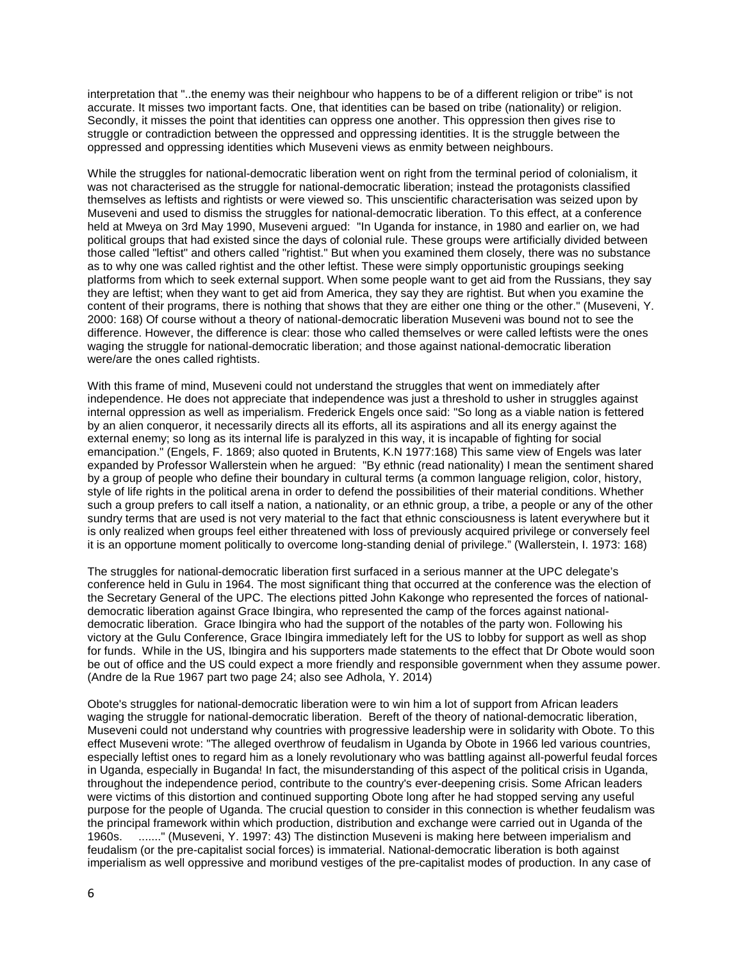interpretation that "..the enemy was their neighbour who happens to be of a different religion or tribe" is not accurate. It misses two important facts. One, that identities can be based on tribe (nationality) or religion. Secondly, it misses the point that identities can oppress one another. This oppression then gives rise to struggle or contradiction between the oppressed and oppressing identities. It is the struggle between the oppressed and oppressing identities which Museveni views as enmity between neighbours.

While the struggles for national-democratic liberation went on right from the terminal period of colonialism, it was not characterised as the struggle for national-democratic liberation; instead the protagonists classified themselves as leftists and rightists or were viewed so. This unscientific characterisation was seized upon by Museveni and used to dismiss the struggles for national-democratic liberation. To this effect, at a conference held at Mweya on 3rd May 1990, Museveni argued: "In Uganda for instance, in 1980 and earlier on, we had political groups that had existed since the days of colonial rule. These groups were artificially divided between those called "leftist" and others called "rightist." But when you examined them closely, there was no substance as to why one was called rightist and the other leftist. These were simply opportunistic groupings seeking platforms from which to seek external support. When some people want to get aid from the Russians, they say they are leftist; when they want to get aid from America, they say they are rightist. But when you examine the content of their programs, there is nothing that shows that they are either one thing or the other." (Museveni, Y. 2000: 168) Of course without a theory of national-democratic liberation Museveni was bound not to see the difference. However, the difference is clear: those who called themselves or were called leftists were the ones waging the struggle for national-democratic liberation; and those against national-democratic liberation were/are the ones called rightists.

With this frame of mind, Museveni could not understand the struggles that went on immediately after independence. He does not appreciate that independence was just a threshold to usher in struggles against internal oppression as well as imperialism. Frederick Engels once said: "So long as a viable nation is fettered by an alien conqueror, it necessarily directs all its efforts, all its aspirations and all its energy against the external enemy; so long as its internal life is paralyzed in this way, it is incapable of fighting for social emancipation." (Engels, F. 1869; also quoted in Brutents, K.N 1977:168) This same view of Engels was later expanded by Professor Wallerstein when he argued: "By ethnic (read nationality) I mean the sentiment shared by a group of people who define their boundary in cultural terms (a common language religion, color, history, style of life rights in the political arena in order to defend the possibilities of their material conditions. Whether such a group prefers to call itself a nation, a nationality, or an ethnic group, a tribe, a people or any of the other sundry terms that are used is not very material to the fact that ethnic consciousness is latent everywhere but it is only realized when groups feel either threatened with loss of previously acquired privilege or conversely feel it is an opportune moment politically to overcome long-standing denial of privilege." (Wallerstein, I. 1973: 168)

The struggles for national-democratic liberation first surfaced in a serious manner at the UPC delegate's conference held in Gulu in 1964. The most significant thing that occurred at the conference was the election of the Secretary General of the UPC. The elections pitted John Kakonge who represented the forces of nationaldemocratic liberation against Grace Ibingira, who represented the camp of the forces against nationaldemocratic liberation. Grace Ibingira who had the support of the notables of the party won. Following his victory at the Gulu Conference, Grace Ibingira immediately left for the US to lobby for support as well as shop for funds. While in the US, Ibingira and his supporters made statements to the effect that Dr Obote would soon be out of office and the US could expect a more friendly and responsible government when they assume power. (Andre de la Rue 1967 part two page 24; also see Adhola, Y. 2014)

Obote's struggles for national-democratic liberation were to win him a lot of support from African leaders waging the struggle for national-democratic liberation. Bereft of the theory of national-democratic liberation, Museveni could not understand why countries with progressive leadership were in solidarity with Obote. To this effect Museveni wrote: "The alleged overthrow of feudalism in Uganda by Obote in 1966 led various countries, especially leftist ones to regard him as a lonely revolutionary who was battling against all-powerful feudal forces in Uganda, especially in Buganda! In fact, the misunderstanding of this aspect of the political crisis in Uganda, throughout the independence period, contribute to the country's ever-deepening crisis. Some African leaders were victims of this distortion and continued supporting Obote long after he had stopped serving any useful purpose for the people of Uganda. The crucial question to consider in this connection is whether feudalism was the principal framework within which production, distribution and exchange were carried out in Uganda of the 1960s. ......." (Museveni, Y. 1997: 43) The distinction Museveni is making here between imperialism and feudalism (or the pre-capitalist social forces) is immaterial. National-democratic liberation is both against imperialism as well oppressive and moribund vestiges of the pre-capitalist modes of production. In any case of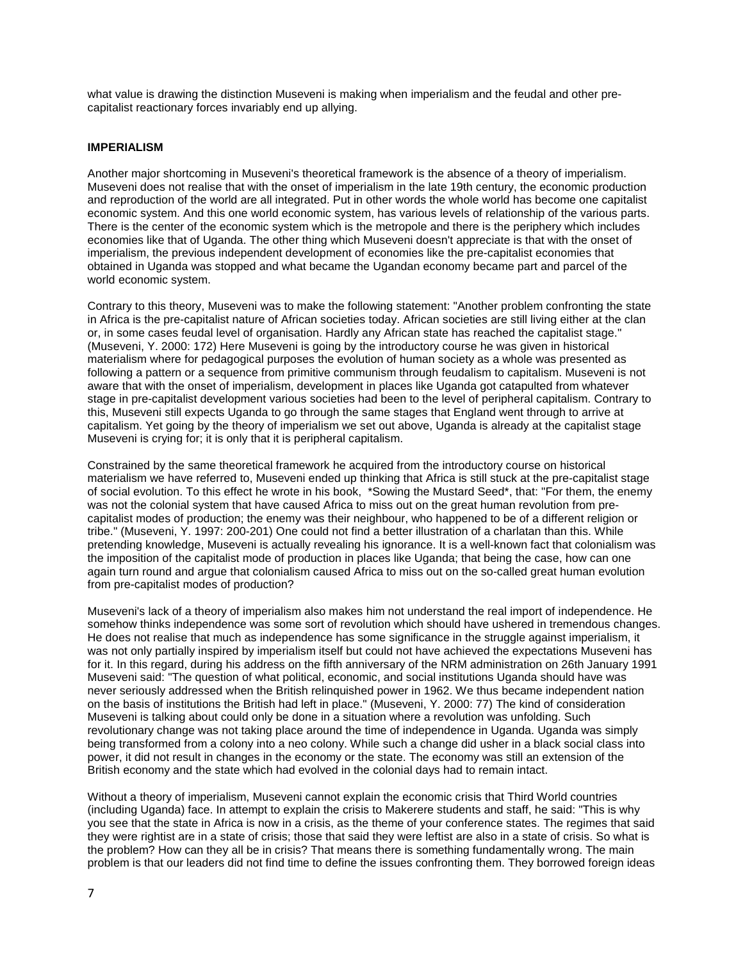what value is drawing the distinction Museveni is making when imperialism and the feudal and other precapitalist reactionary forces invariably end up allying.

#### **IMPERIALISM**

Another major shortcoming in Museveni's theoretical framework is the absence of a theory of imperialism. Museveni does not realise that with the onset of imperialism in the late 19th century, the economic production and reproduction of the world are all integrated. Put in other words the whole world has become one capitalist economic system. And this one world economic system, has various levels of relationship of the various parts. There is the center of the economic system which is the metropole and there is the periphery which includes economies like that of Uganda. The other thing which Museveni doesn't appreciate is that with the onset of imperialism, the previous independent development of economies like the pre-capitalist economies that obtained in Uganda was stopped and what became the Ugandan economy became part and parcel of the world economic system.

Contrary to this theory, Museveni was to make the following statement: "Another problem confronting the state in Africa is the pre-capitalist nature of African societies today. African societies are still living either at the clan or, in some cases feudal level of organisation. Hardly any African state has reached the capitalist stage." (Museveni, Y. 2000: 172) Here Museveni is going by the introductory course he was given in historical materialism where for pedagogical purposes the evolution of human society as a whole was presented as following a pattern or a sequence from primitive communism through feudalism to capitalism. Museveni is not aware that with the onset of imperialism, development in places like Uganda got catapulted from whatever stage in pre-capitalist development various societies had been to the level of peripheral capitalism. Contrary to this, Museveni still expects Uganda to go through the same stages that England went through to arrive at capitalism. Yet going by the theory of imperialism we set out above, Uganda is already at the capitalist stage Museveni is crying for; it is only that it is peripheral capitalism.

Constrained by the same theoretical framework he acquired from the introductory course on historical materialism we have referred to, Museveni ended up thinking that Africa is still stuck at the pre-capitalist stage of social evolution. To this effect he wrote in his book, \*Sowing the Mustard Seed\*, that: "For them, the enemy was not the colonial system that have caused Africa to miss out on the great human revolution from precapitalist modes of production; the enemy was their neighbour, who happened to be of a different religion or tribe." (Museveni, Y. 1997: 200-201) One could not find a better illustration of a charlatan than this. While pretending knowledge, Museveni is actually revealing his ignorance. It is a well-known fact that colonialism was the imposition of the capitalist mode of production in places like Uganda; that being the case, how can one again turn round and argue that colonialism caused Africa to miss out on the so-called great human evolution from pre-capitalist modes of production?

Museveni's lack of a theory of imperialism also makes him not understand the real import of independence. He somehow thinks independence was some sort of revolution which should have ushered in tremendous changes. He does not realise that much as independence has some significance in the struggle against imperialism, it was not only partially inspired by imperialism itself but could not have achieved the expectations Museveni has for it. In this regard, during his address on the fifth anniversary of the NRM administration on 26th January 1991 Museveni said: "The question of what political, economic, and social institutions Uganda should have was never seriously addressed when the British relinquished power in 1962. We thus became independent nation on the basis of institutions the British had left in place." (Museveni, Y. 2000: 77) The kind of consideration Museveni is talking about could only be done in a situation where a revolution was unfolding. Such revolutionary change was not taking place around the time of independence in Uganda. Uganda was simply being transformed from a colony into a neo colony. While such a change did usher in a black social class into power, it did not result in changes in the economy or the state. The economy was still an extension of the British economy and the state which had evolved in the colonial days had to remain intact.

Without a theory of imperialism, Museveni cannot explain the economic crisis that Third World countries (including Uganda) face. In attempt to explain the crisis to Makerere students and staff, he said: "This is why you see that the state in Africa is now in a crisis, as the theme of your conference states. The regimes that said they were rightist are in a state of crisis; those that said they were leftist are also in a state of crisis. So what is the problem? How can they all be in crisis? That means there is something fundamentally wrong. The main problem is that our leaders did not find time to define the issues confronting them. They borrowed foreign ideas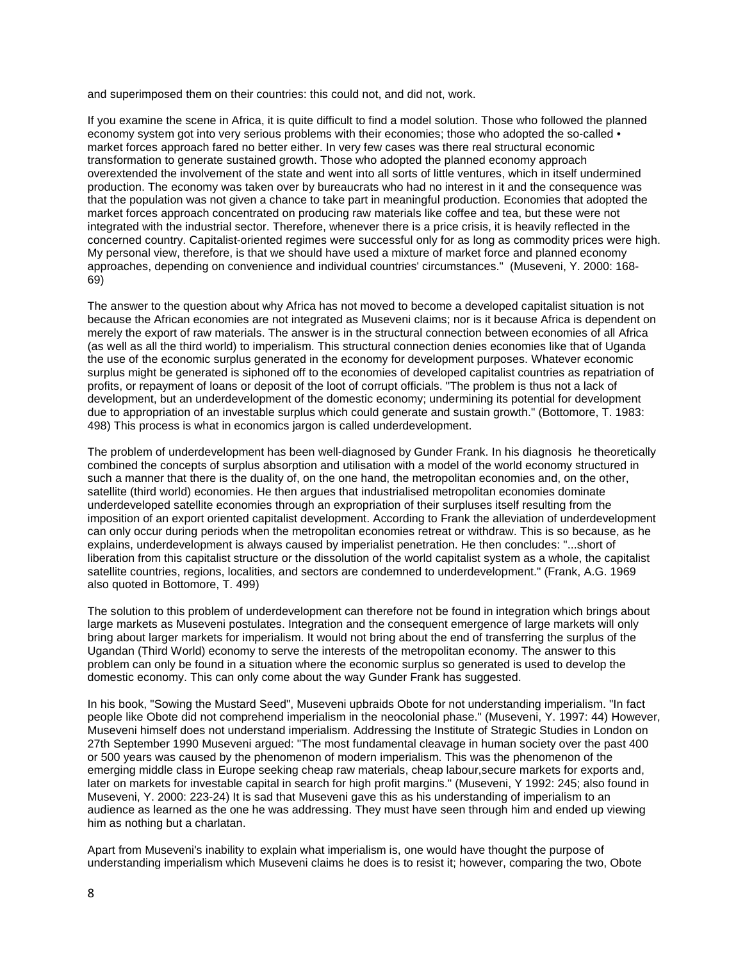and superimposed them on their countries: this could not, and did not, work.

If you examine the scene in Africa, it is quite difficult to find a model solution. Those who followed the planned economy system got into very serious problems with their economies; those who adopted the so-called • market forces approach fared no better either. In very few cases was there real structural economic transformation to generate sustained growth. Those who adopted the planned economy approach overextended the involvement of the state and went into all sorts of little ventures, which in itself undermined production. The economy was taken over by bureaucrats who had no interest in it and the consequence was that the population was not given a chance to take part in meaningful production. Economies that adopted the market forces approach concentrated on producing raw materials like coffee and tea, but these were not integrated with the industrial sector. Therefore, whenever there is a price crisis, it is heavily reflected in the concerned country. Capitalist-oriented regimes were successful only for as long as commodity prices were high. My personal view, therefore, is that we should have used a mixture of market force and planned economy approaches, depending on convenience and individual countries' circumstances." (Museveni, Y. 2000: 168- 69)

The answer to the question about why Africa has not moved to become a developed capitalist situation is not because the African economies are not integrated as Museveni claims; nor is it because Africa is dependent on merely the export of raw materials. The answer is in the structural connection between economies of all Africa (as well as all the third world) to imperialism. This structural connection denies economies like that of Uganda the use of the economic surplus generated in the economy for development purposes. Whatever economic surplus might be generated is siphoned off to the economies of developed capitalist countries as repatriation of profits, or repayment of loans or deposit of the loot of corrupt officials. "The problem is thus not a lack of development, but an underdevelopment of the domestic economy; undermining its potential for development due to appropriation of an investable surplus which could generate and sustain growth." (Bottomore, T. 1983: 498) This process is what in economics jargon is called underdevelopment.

The problem of underdevelopment has been well-diagnosed by Gunder Frank. In his diagnosis he theoretically combined the concepts of surplus absorption and utilisation with a model of the world economy structured in such a manner that there is the duality of, on the one hand, the metropolitan economies and, on the other, satellite (third world) economies. He then argues that industrialised metropolitan economies dominate underdeveloped satellite economies through an expropriation of their surpluses itself resulting from the imposition of an export oriented capitalist development. According to Frank the alleviation of underdevelopment can only occur during periods when the metropolitan economies retreat or withdraw. This is so because, as he explains, underdevelopment is always caused by imperialist penetration. He then concludes: "...short of liberation from this capitalist structure or the dissolution of the world capitalist system as a whole, the capitalist satellite countries, regions, localities, and sectors are condemned to underdevelopment." (Frank, A.G. 1969 also quoted in Bottomore, T. 499)

The solution to this problem of underdevelopment can therefore not be found in integration which brings about large markets as Museveni postulates. Integration and the consequent emergence of large markets will only bring about larger markets for imperialism. It would not bring about the end of transferring the surplus of the Ugandan (Third World) economy to serve the interests of the metropolitan economy. The answer to this problem can only be found in a situation where the economic surplus so generated is used to develop the domestic economy. This can only come about the way Gunder Frank has suggested.

In his book, "Sowing the Mustard Seed", Museveni upbraids Obote for not understanding imperialism. "In fact people like Obote did not comprehend imperialism in the neocolonial phase." (Museveni, Y. 1997: 44) However, Museveni himself does not understand imperialism. Addressing the Institute of Strategic Studies in London on 27th September 1990 Museveni argued: "The most fundamental cleavage in human society over the past 400 or 500 years was caused by the phenomenon of modern imperialism. This was the phenomenon of the emerging middle class in Europe seeking cheap raw materials, cheap labour,secure markets for exports and, later on markets for investable capital in search for high profit margins." (Museveni, Y 1992: 245; also found in Museveni, Y. 2000: 223-24) It is sad that Museveni gave this as his understanding of imperialism to an audience as learned as the one he was addressing. They must have seen through him and ended up viewing him as nothing but a charlatan.

Apart from Museveni's inability to explain what imperialism is, one would have thought the purpose of understanding imperialism which Museveni claims he does is to resist it; however, comparing the two, Obote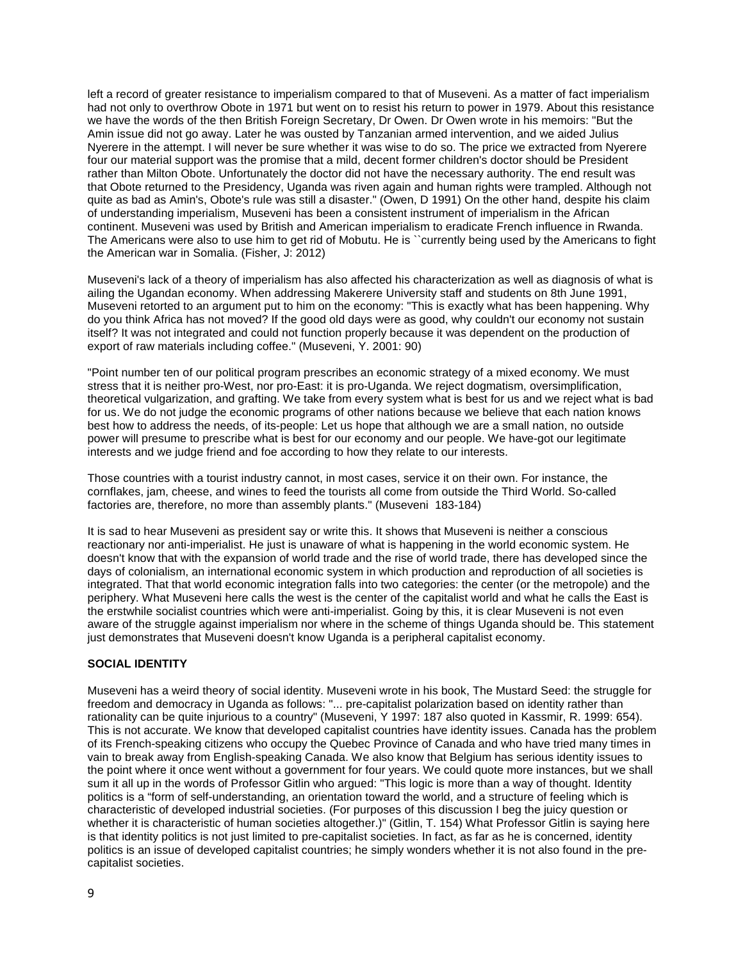left a record of greater resistance to imperialism compared to that of Museveni. As a matter of fact imperialism had not only to overthrow Obote in 1971 but went on to resist his return to power in 1979. About this resistance we have the words of the then British Foreign Secretary, Dr Owen. Dr Owen wrote in his memoirs: "But the Amin issue did not go away. Later he was ousted by Tanzanian armed intervention, and we aided Julius Nyerere in the attempt. I will never be sure whether it was wise to do so. The price we extracted from Nyerere four our material support was the promise that a mild, decent former children's doctor should be President rather than Milton Obote. Unfortunately the doctor did not have the necessary authority. The end result was that Obote returned to the Presidency, Uganda was riven again and human rights were trampled. Although not quite as bad as Amin's, Obote's rule was still a disaster." (Owen, D 1991) On the other hand, despite his claim of understanding imperialism, Museveni has been a consistent instrument of imperialism in the African continent. Museveni was used by British and American imperialism to eradicate French influence in Rwanda. The Americans were also to use him to get rid of Mobutu. He is ``currently being used by the Americans to fight the American war in Somalia. (Fisher, J: 2012)

Museveni's lack of a theory of imperialism has also affected his characterization as well as diagnosis of what is ailing the Ugandan economy. When addressing Makerere University staff and students on 8th June 1991, Museveni retorted to an argument put to him on the economy: "This is exactly what has been happening. Why do you think Africa has not moved? If the good old days were as good, why couldn't our economy not sustain itself? It was not integrated and could not function properly because it was dependent on the production of export of raw materials including coffee." (Museveni, Y. 2001: 90)

"Point number ten of our political program prescribes an economic strategy of a mixed economy. We must stress that it is neither pro-West, nor pro-East: it is pro-Uganda. We reject dogmatism, oversimplification, theoretical vulgarization, and grafting. We take from every system what is best for us and we reject what is bad for us. We do not judge the economic programs of other nations because we believe that each nation knows best how to address the needs, of its-people: Let us hope that although we are a small nation, no outside power will presume to prescribe what is best for our economy and our people. We have-got our legitimate interests and we judge friend and foe according to how they relate to our interests.

Those countries with a tourist industry cannot, in most cases, service it on their own. For instance, the cornflakes, jam, cheese, and wines to feed the tourists all come from outside the Third World. So-called factories are, therefore, no more than assembly plants." (Museveni 183-184)

It is sad to hear Museveni as president say or write this. It shows that Museveni is neither a conscious reactionary nor anti-imperialist. He just is unaware of what is happening in the world economic system. He doesn't know that with the expansion of world trade and the rise of world trade, there has developed since the days of colonialism, an international economic system in which production and reproduction of all societies is integrated. That that world economic integration falls into two categories: the center (or the metropole) and the periphery. What Museveni here calls the west is the center of the capitalist world and what he calls the East is the erstwhile socialist countries which were anti-imperialist. Going by this, it is clear Museveni is not even aware of the struggle against imperialism nor where in the scheme of things Uganda should be. This statement just demonstrates that Museveni doesn't know Uganda is a peripheral capitalist economy.

#### **SOCIAL IDENTITY**

Museveni has a weird theory of social identity. Museveni wrote in his book, The Mustard Seed: the struggle for freedom and democracy in Uganda as follows: "... pre-capitalist polarization based on identity rather than rationality can be quite injurious to a country" (Museveni, Y 1997: 187 also quoted in Kassmir, R. 1999: 654). This is not accurate. We know that developed capitalist countries have identity issues. Canada has the problem of its French-speaking citizens who occupy the Quebec Province of Canada and who have tried many times in vain to break away from English-speaking Canada. We also know that Belgium has serious identity issues to the point where it once went without a government for four years. We could quote more instances, but we shall sum it all up in the words of Professor Gitlin who argued: "This logic is more than a way of thought. Identity politics is a "form of self-understanding, an orientation toward the world, and a structure of feeling which is characteristic of developed industrial societies. (For purposes of this discussion I beg the juicy question or whether it is characteristic of human societies altogether.)" (Gitlin, T. 154) What Professor Gitlin is saying here is that identity politics is not just limited to pre-capitalist societies. In fact, as far as he is concerned, identity politics is an issue of developed capitalist countries; he simply wonders whether it is not also found in the precapitalist societies.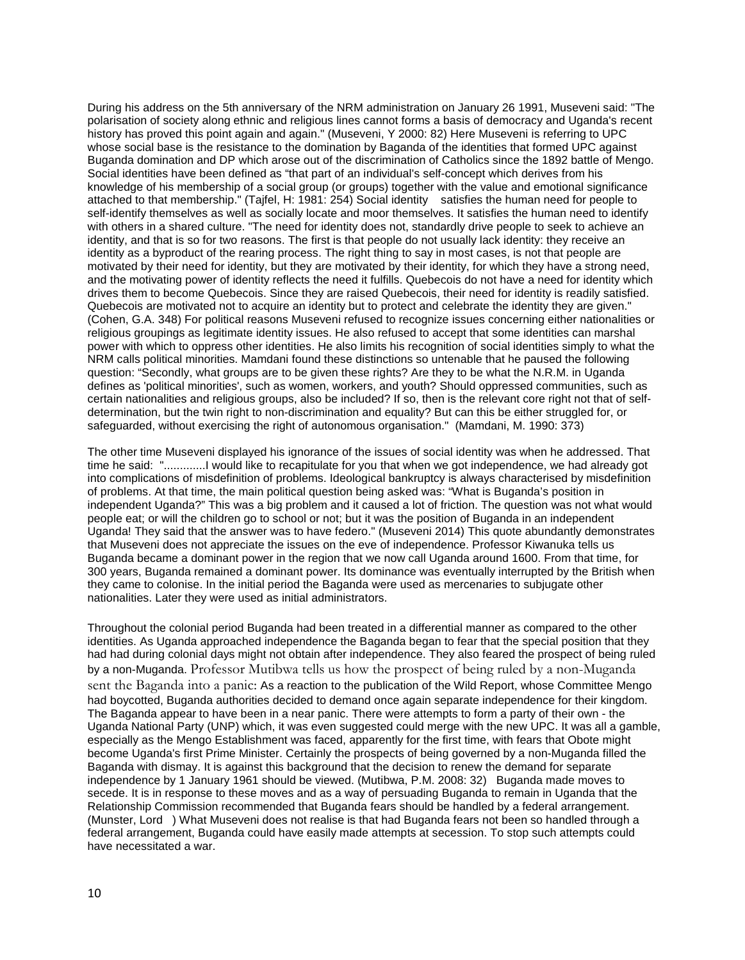During his address on the 5th anniversary of the NRM administration on January 26 1991, Museveni said: "The polarisation of society along ethnic and religious lines cannot forms a basis of democracy and Uganda's recent history has proved this point again and again." (Museveni, Y 2000: 82) Here Museveni is referring to UPC whose social base is the resistance to the domination by Baganda of the identities that formed UPC against Buganda domination and DP which arose out of the discrimination of Catholics since the 1892 battle of Mengo. Social identities have been defined as "that part of an individual's self-concept which derives from his knowledge of his membership of a social group (or groups) together with the value and emotional significance attached to that membership." (Tajfel, H: 1981: 254) Social identity satisfies the human need for people to self-identify themselves as well as socially locate and moor themselves. It satisfies the human need to identify with others in a shared culture. "The need for identity does not, standardly drive people to seek to achieve an identity, and that is so for two reasons. The first is that people do not usually lack identity: they receive an identity as a byproduct of the rearing process. The right thing to say in most cases, is not that people are motivated by their need for identity, but they are motivated by their identity, for which they have a strong need, and the motivating power of identity reflects the need it fulfills. Quebecois do not have a need for identity which drives them to become Quebecois. Since they are raised Quebecois, their need for identity is readily satisfied. Quebecois are motivated not to acquire an identity but to protect and celebrate the identity they are given." (Cohen, G.A. 348) For political reasons Museveni refused to recognize issues concerning either nationalities or religious groupings as legitimate identity issues. He also refused to accept that some identities can marshal power with which to oppress other identities. He also limits his recognition of social identities simply to what the NRM calls political minorities. Mamdani found these distinctions so untenable that he paused the following question: "Secondly, what groups are to be given these rights? Are they to be what the N.R.M. in Uganda defines as 'political minorities', such as women, workers, and youth? Should oppressed communities, such as certain nationalities and religious groups, also be included? If so, then is the relevant core right not that of selfdetermination, but the twin right to non-discrimination and equality? But can this be either struggled for, or safeguarded, without exercising the right of autonomous organisation." (Mamdani, M. 1990: 373)

The other time Museveni displayed his ignorance of the issues of social identity was when he addressed. That time he said: ".............I would like to recapitulate for you that when we got independence, we had already got into complications of misdefinition of problems. Ideological bankruptcy is always characterised by misdefinition of problems. At that time, the main political question being asked was: "What is Buganda's position in independent Uganda?" This was a big problem and it caused a lot of friction. The question was not what would people eat; or will the children go to school or not; but it was the position of Buganda in an independent Uganda! They said that the answer was to have federo." (Museveni 2014) This quote abundantly demonstrates that Museveni does not appreciate the issues on the eve of independence. Professor Kiwanuka tells us Buganda became a dominant power in the region that we now call Uganda around 1600. From that time, for 300 years, Buganda remained a dominant power. Its dominance was eventually interrupted by the British when they came to colonise. In the initial period the Baganda were used as mercenaries to subjugate other nationalities. Later they were used as initial administrators.

Throughout the colonial period Buganda had been treated in a differential manner as compared to the other identities. As Uganda approached independence the Baganda began to fear that the special position that they had had during colonial days might not obtain after independence. They also feared the prospect of being ruled by a non-Muganda. Professor Mutibwa tells us how the prospect of being ruled by a non-Muganda sent the Baganda into a panic: As a reaction to the publication of the Wild Report, whose Committee Mengo had boycotted, Buganda authorities decided to demand once again separate independence for their kingdom. The Baganda appear to have been in a near panic. There were attempts to form a party of their own - the Uganda National Party (UNP) which, it was even suggested could merge with the new UPC. It was all a gamble, especially as the Mengo Establishment was faced, apparently for the first time, with fears that Obote might become Uganda's first Prime Minister. Certainly the prospects of being governed by a non-Muganda filled the Baganda with dismay. It is against this background that the decision to renew the demand for separate independence by 1 January 1961 should be viewed. (Mutibwa, P.M. 2008: 32) Buganda made moves to secede. It is in response to these moves and as a way of persuading Buganda to remain in Uganda that the Relationship Commission recommended that Buganda fears should be handled by a federal arrangement. (Munster, Lord ) What Museveni does not realise is that had Buganda fears not been so handled through a federal arrangement, Buganda could have easily made attempts at secession. To stop such attempts could have necessitated a war.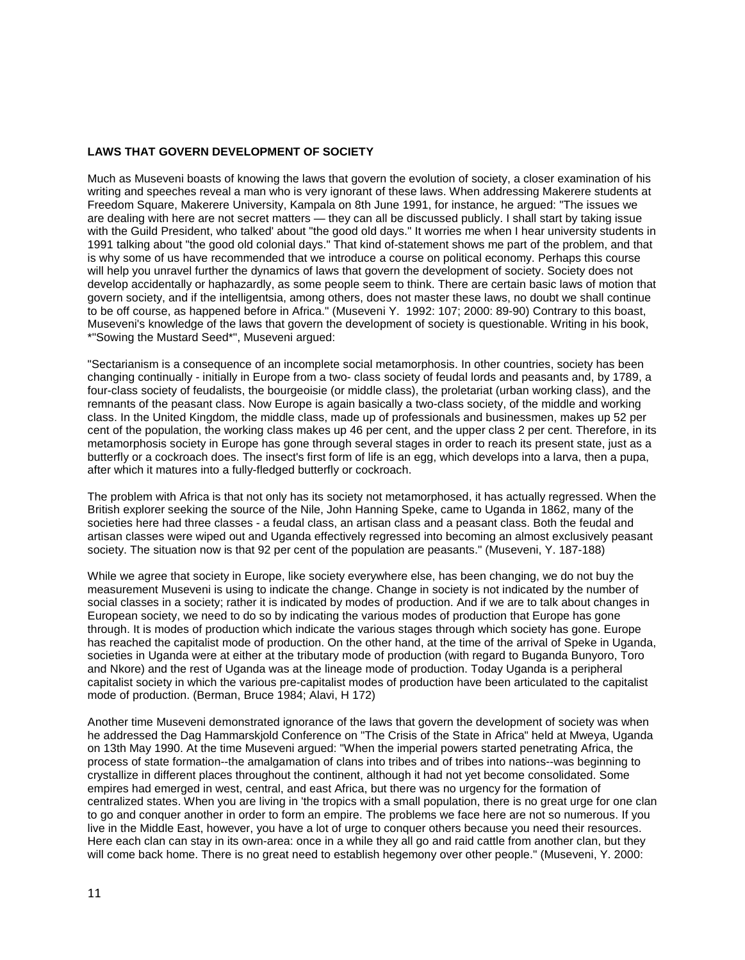#### **LAWS THAT GOVERN DEVELOPMENT OF SOCIETY**

Much as Museveni boasts of knowing the laws that govern the evolution of society, a closer examination of his writing and speeches reveal a man who is very ignorant of these laws. When addressing Makerere students at Freedom Square, Makerere University, Kampala on 8th June 1991, for instance, he argued: "The issues we are dealing with here are not secret matters — they can all be discussed publicly. I shall start by taking issue with the Guild President, who talked' about "the good old days." It worries me when I hear university students in 1991 talking about "the good old colonial days." That kind of-statement shows me part of the problem, and that is why some of us have recommended that we introduce a course on political economy. Perhaps this course will help you unravel further the dynamics of laws that govern the development of society. Society does not develop accidentally or haphazardly, as some people seem to think. There are certain basic laws of motion that govern society, and if the intelligentsia, among others, does not master these laws, no doubt we shall continue to be off course, as happened before in Africa." (Museveni Y. 1992: 107; 2000: 89-90) Contrary to this boast, Museveni's knowledge of the laws that govern the development of society is questionable. Writing in his book, \*"Sowing the Mustard Seed\*", Museveni argued:

"Sectarianism is a consequence of an incomplete social metamorphosis. In other countries, society has been changing continually - initially in Europe from a two- class society of feudal lords and peasants and, by 1789, a four-class society of feudalists, the bourgeoisie (or middle class), the proletariat (urban working class), and the remnants of the peasant class. Now Europe is again basically a two-class society, of the middle and working class. In the United Kingdom, the middle class, made up of professionals and businessmen, makes up 52 per cent of the population, the working class makes up 46 per cent, and the upper class 2 per cent. Therefore, in its metamorphosis society in Europe has gone through several stages in order to reach its present state, just as a butterfly or a cockroach does. The insect's first form of life is an egg, which develops into a larva, then a pupa, after which it matures into a fully-fledged butterfly or cockroach.

The problem with Africa is that not only has its society not metamorphosed, it has actually regressed. When the British explorer seeking the source of the Nile, John Hanning Speke, came to Uganda in 1862, many of the societies here had three classes - a feudal class, an artisan class and a peasant class. Both the feudal and artisan classes were wiped out and Uganda effectively regressed into becoming an almost exclusively peasant society. The situation now is that 92 per cent of the population are peasants." (Museveni, Y. 187-188)

While we agree that society in Europe, like society everywhere else, has been changing, we do not buy the measurement Museveni is using to indicate the change. Change in society is not indicated by the number of social classes in a society; rather it is indicated by modes of production. And if we are to talk about changes in European society, we need to do so by indicating the various modes of production that Europe has gone through. It is modes of production which indicate the various stages through which society has gone. Europe has reached the capitalist mode of production. On the other hand, at the time of the arrival of Speke in Uganda, societies in Uganda were at either at the tributary mode of production (with regard to Buganda Bunyoro, Toro and Nkore) and the rest of Uganda was at the lineage mode of production. Today Uganda is a peripheral capitalist society in which the various pre-capitalist modes of production have been articulated to the capitalist mode of production. (Berman, Bruce 1984; Alavi, H 172)

Another time Museveni demonstrated ignorance of the laws that govern the development of society was when he addressed the Dag Hammarskjold Conference on "The Crisis of the State in Africa" held at Mweya, Uganda on 13th May 1990. At the time Museveni argued: "When the imperial powers started penetrating Africa, the process of state formation--the amalgamation of clans into tribes and of tribes into nations--was beginning to crystallize in different places throughout the continent, although it had not yet become consolidated. Some empires had emerged in west, central, and east Africa, but there was no urgency for the formation of centralized states. When you are living in 'the tropics with a small population, there is no great urge for one clan to go and conquer another in order to form an empire. The problems we face here are not so numerous. If you live in the Middle East, however, you have a lot of urge to conquer others because you need their resources. Here each clan can stay in its own-area: once in a while they all go and raid cattle from another clan, but they will come back home. There is no great need to establish hegemony over other people." (Museveni, Y. 2000: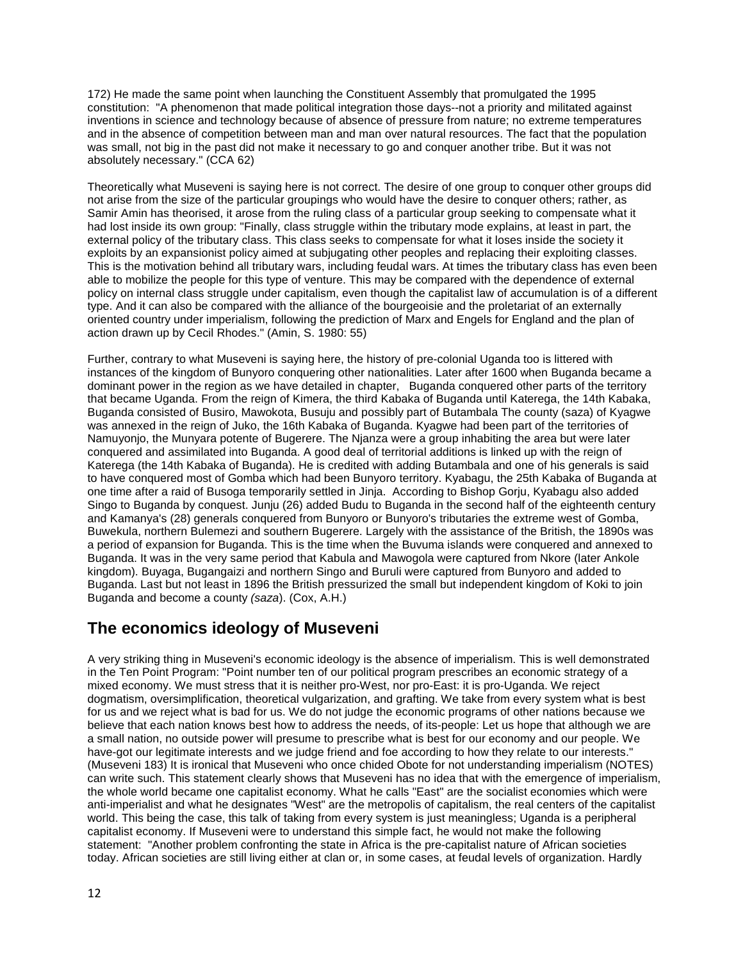172) He made the same point when launching the Constituent Assembly that promulgated the 1995 constitution: "A phenomenon that made political integration those days--not a priority and militated against inventions in science and technology because of absence of pressure from nature; no extreme temperatures and in the absence of competition between man and man over natural resources. The fact that the population was small, not big in the past did not make it necessary to go and conquer another tribe. But it was not absolutely necessary." (CCA 62)

Theoretically what Museveni is saying here is not correct. The desire of one group to conquer other groups did not arise from the size of the particular groupings who would have the desire to conquer others; rather, as Samir Amin has theorised, it arose from the ruling class of a particular group seeking to compensate what it had lost inside its own group: "Finally, class struggle within the tributary mode explains, at least in part, the external policy of the tributary class. This class seeks to compensate for what it loses inside the society it exploits by an expansionist policy aimed at subjugating other peoples and replacing their exploiting classes. This is the motivation behind all tributary wars, including feudal wars. At times the tributary class has even been able to mobilize the people for this type of venture. This may be compared with the dependence of external policy on internal class struggle under capitalism, even though the capitalist law of accumulation is of a different type. And it can also be compared with the alliance of the bourgeoisie and the proletariat of an externally oriented country under imperialism, following the prediction of Marx and Engels for England and the plan of action drawn up by Cecil Rhodes." (Amin, S. 1980: 55)

Further, contrary to what Museveni is saying here, the history of pre-colonial Uganda too is littered with instances of the kingdom of Bunyoro conquering other nationalities. Later after 1600 when Buganda became a dominant power in the region as we have detailed in chapter, Buganda conquered other parts of the territory that became Uganda. From the reign of Kimera, the third Kabaka of Buganda until Katerega, the 14th Kabaka, Buganda consisted of Busiro, Mawokota, Busuju and possibly part of Butambala The county (saza) of Kyagwe was annexed in the reign of Juko, the 16th Kabaka of Buganda. Kyagwe had been part of the territories of Namuyonjo, the Munyara potente of Bugerere. The Njanza were a group inhabiting the area but were later conquered and assimilated into Buganda. A good deal of territorial additions is linked up with the reign of Katerega (the 14th Kabaka of Buganda). He is credited with adding Butambala and one of his generals is said to have conquered most of Gomba which had been Bunyoro territory. Kyabagu, the 25th Kabaka of Buganda at one time after a raid of Busoga temporarily settled in Jinja. According to Bishop Gorju, Kyabagu also added Singo to Buganda by conquest. Junju (26) added Budu to Buganda in the second half of the eighteenth century and Kamanya's (28) generals conquered from Bunyoro or Bunyoro's tributaries the extreme west of Gomba, Buwekula, northern Bulemezi and southern Bugerere. Largely with the assistance of the British, the 1890s was a period of expansion for Buganda. This is the time when the Buvuma islands were conquered and annexed to Buganda. It was in the very same period that Kabula and Mawogola were captured from Nkore (later Ankole kingdom). Buyaga, Bugangaizi and northern Singo and Buruli were captured from Bunyoro and added to Buganda. Last but not least in 1896 the British pressurized the small but independent kingdom of Koki to join Buganda and become a county *(saza*). (Cox, A.H.)

### **The economics ideology of Museveni**

A very striking thing in Museveni's economic ideology is the absence of imperialism. This is well demonstrated in the Ten Point Program: "Point number ten of our political program prescribes an economic strategy of a mixed economy. We must stress that it is neither pro-West, nor pro-East: it is pro-Uganda. We reject dogmatism, oversimplification, theoretical vulgarization, and grafting. We take from every system what is best for us and we reject what is bad for us. We do not judge the economic programs of other nations because we believe that each nation knows best how to address the needs, of its-people: Let us hope that although we are a small nation, no outside power will presume to prescribe what is best for our economy and our people. We have-got our legitimate interests and we judge friend and foe according to how they relate to our interests." (Museveni 183) It is ironical that Museveni who once chided Obote for not understanding imperialism (NOTES) can write such. This statement clearly shows that Museveni has no idea that with the emergence of imperialism, the whole world became one capitalist economy. What he calls "East" are the socialist economies which were anti-imperialist and what he designates "West" are the metropolis of capitalism, the real centers of the capitalist world. This being the case, this talk of taking from every system is just meaningless; Uganda is a peripheral capitalist economy. If Museveni were to understand this simple fact, he would not make the following statement: "Another problem confronting the state in Africa is the pre-capitalist nature of African societies today. African societies are still living either at clan or, in some cases, at feudal levels of organization. Hardly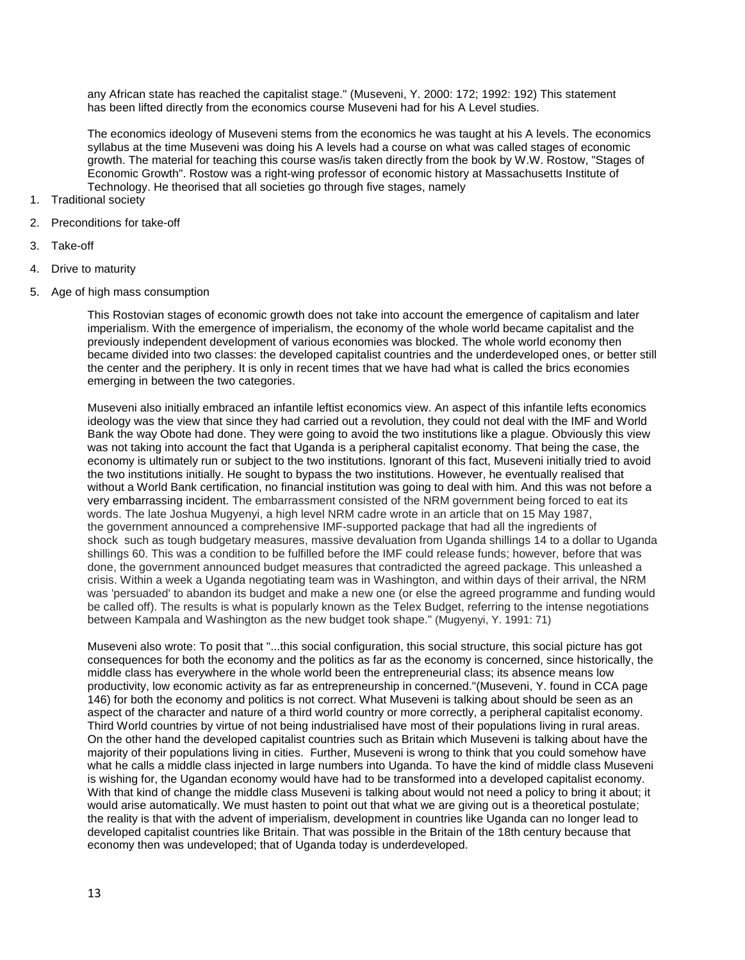any African state has reached the capitalist stage." (Museveni, Y. 2000: 172; 1992: 192) This statement has been lifted directly from the economics course Museveni had for his A Level studies.

The economics ideology of Museveni stems from the economics he was taught at his A levels. The economics syllabus at the time Museveni was doing his A levels had a course on what was called stages of economic growth. The material for teaching this course was/is taken directly from the book by W.W. Rostow, "Stages of Economic Growth". Rostow was a right-wing professor of economic history at Massachusetts Institute of Technology. He theorised that all societies go through five stages, namely

- 1. Traditional society
- 2. Preconditions for take-off
- 3. Take-off
- 4. Drive to maturity
- 5. Age of high mass consumption

This Rostovian stages of economic growth does not take into account the emergence of capitalism and later imperialism. With the emergence of imperialism, the economy of the whole world became capitalist and the previously independent development of various economies was blocked. The whole world economy then became divided into two classes: the developed capitalist countries and the underdeveloped ones, or better still the center and the periphery. It is only in recent times that we have had what is called the brics economies emerging in between the two categories.

Museveni also initially embraced an infantile leftist economics view. An aspect of this infantile lefts economics ideology was the view that since they had carried out a revolution, they could not deal with the IMF and World Bank the way Obote had done. They were going to avoid the two institutions like a plague. Obviously this view was not taking into account the fact that Uganda is a peripheral capitalist economy. That being the case, the economy is ultimately run or subject to the two institutions. Ignorant of this fact, Museveni initially tried to avoid the two institutions initially. He sought to bypass the two institutions. However, he eventually realised that without a World Bank certification, no financial institution was going to deal with him. And this was not before a very embarrassing incident. The embarrassment consisted of the NRM government being forced to eat its words. The late Joshua Mugyenyi, a high level NRM cadre wrote in an article that on 15 May 1987, the government announced a comprehensive IMF-supported package that had all the ingredients of shock such as tough budgetary measures, massive devaluation from Uganda shillings 14 to a dollar to Uganda shillings 60. This was a condition to be fulfilled before the IMF could release funds; however, before that was done, the government announced budget measures that contradicted the agreed package. This unleashed a crisis. Within a week a Uganda negotiating team was in Washington, and within days of their arrival, the NRM was 'persuaded' to abandon its budget and make a new one (or else the agreed programme and funding would be called off). The results is what is popularly known as the Telex Budget, referring to the intense negotiations between Kampala and Washington as the new budget took shape." (Mugyenyi, Y. 1991: 71)

Museveni also wrote: To posit that "...this social configuration, this social structure, this social picture has got consequences for both the economy and the politics as far as the economy is concerned, since historically, the middle class has everywhere in the whole world been the entrepreneurial class; its absence means low productivity, low economic activity as far as entrepreneurship in concerned."(Museveni, Y. found in CCA page 146) for both the economy and politics is not correct. What Museveni is talking about should be seen as an aspect of the character and nature of a third world country or more correctly, a peripheral capitalist economy. Third World countries by virtue of not being industrialised have most of their populations living in rural areas. On the other hand the developed capitalist countries such as Britain which Museveni is talking about have the majority of their populations living in cities. Further, Museveni is wrong to think that you could somehow have what he calls a middle class injected in large numbers into Uganda. To have the kind of middle class Museveni is wishing for, the Ugandan economy would have had to be transformed into a developed capitalist economy. With that kind of change the middle class Museveni is talking about would not need a policy to bring it about; it would arise automatically. We must hasten to point out that what we are giving out is a theoretical postulate; the reality is that with the advent of imperialism, development in countries like Uganda can no longer lead to developed capitalist countries like Britain. That was possible in the Britain of the 18th century because that economy then was undeveloped; that of Uganda today is underdeveloped.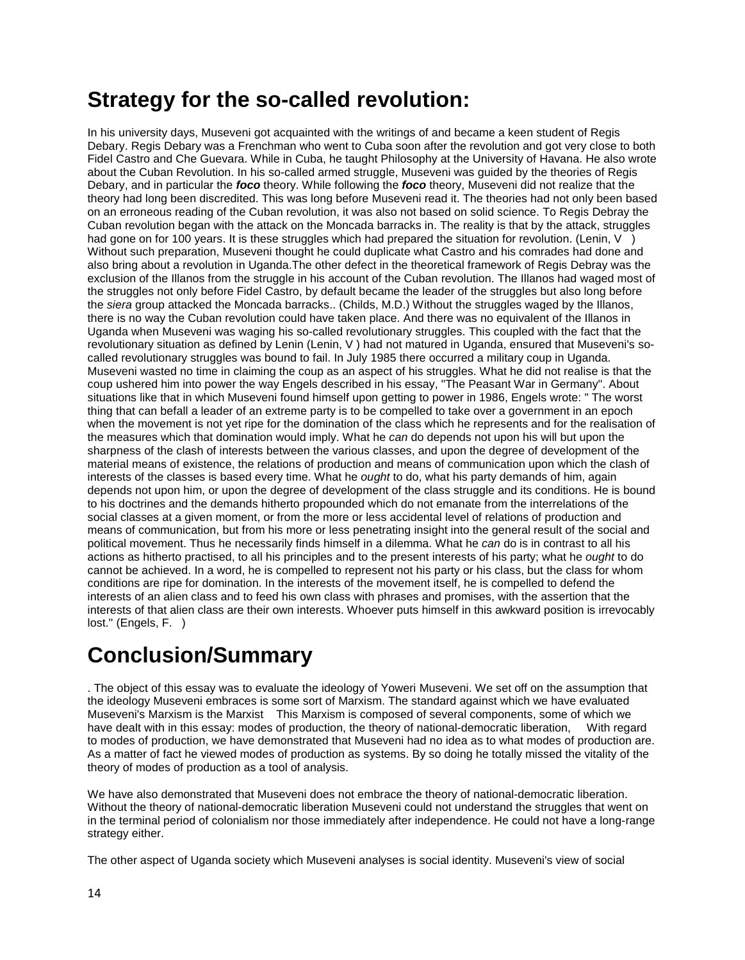## **Strategy for the so-called revolution:**

In his university days, Museveni got acquainted with the writings of and became a keen student of Regis Debary. Regis Debary was a Frenchman who went to Cuba soon after the revolution and got very close to both Fidel Castro and Che Guevara. While in Cuba, he taught Philosophy at the University of Havana. He also wrote about the Cuban Revolution. In his so-called armed struggle, Museveni was guided by the theories of Regis Debary, and in particular the *foco* theory. While following the *foco* theory, Museveni did not realize that the theory had long been discredited. This was long before Museveni read it. The theories had not only been based on an erroneous reading of the Cuban revolution, it was also not based on solid science. To Regis Debray the Cuban revolution began with the attack on the Moncada barracks in. The reality is that by the attack, struggles had gone on for 100 years. It is these struggles which had prepared the situation for revolution. (Lenin,  $V \rightarrow$ Without such preparation, Museveni thought he could duplicate what Castro and his comrades had done and also bring about a revolution in Uganda.The other defect in the theoretical framework of Regis Debray was the exclusion of the Illanos from the struggle in his account of the Cuban revolution. The Illanos had waged most of the struggles not only before Fidel Castro, by default became the leader of the struggles but also long before the *siera* group attacked the Moncada barracks.. (Childs, M.D.) Without the struggles waged by the Illanos, there is no way the Cuban revolution could have taken place. And there was no equivalent of the Illanos in Uganda when Museveni was waging his so-called revolutionary struggles. This coupled with the fact that the revolutionary situation as defined by Lenin (Lenin, V ) had not matured in Uganda, ensured that Museveni's socalled revolutionary struggles was bound to fail. In July 1985 there occurred a military coup in Uganda. Museveni wasted no time in claiming the coup as an aspect of his struggles. What he did not realise is that the coup ushered him into power the way Engels described in his essay, "The Peasant War in Germany". About situations like that in which Museveni found himself upon getting to power in 1986, Engels wrote: " The worst thing that can befall a leader of an extreme party is to be compelled to take over a government in an epoch when the movement is not yet ripe for the domination of the class which he represents and for the realisation of the measures which that domination would imply. What he *can* do depends not upon his will but upon the sharpness of the clash of interests between the various classes, and upon the degree of development of the material means of existence, the relations of production and means of communication upon which the clash of interests of the classes is based every time. What he *ought* to do, what his party demands of him, again depends not upon him, or upon the degree of development of the class struggle and its conditions. He is bound to his doctrines and the demands hitherto propounded which do not emanate from the interrelations of the social classes at a given moment, or from the more or less accidental level of relations of production and means of communication, but from his more or less penetrating insight into the general result of the social and political movement. Thus he necessarily finds himself in a dilemma. What he *can* do is in contrast to all his actions as hitherto practised, to all his principles and to the present interests of his party; what he *ought* to do cannot be achieved. In a word, he is compelled to represent not his party or his class, but the class for whom conditions are ripe for domination. In the interests of the movement itself, he is compelled to defend the interests of an alien class and to feed his own class with phrases and promises, with the assertion that the interests of that alien class are their own interests. Whoever puts himself in this awkward position is irrevocably lost." (Engels, F. )

# **Conclusion/Summary**

. The object of this essay was to evaluate the ideology of Yoweri Museveni. We set off on the assumption that the ideology Museveni embraces is some sort of Marxism. The standard against which we have evaluated Museveni's Marxism is the Marxist This Marxism is composed of several components, some of which we have dealt with in this essay: modes of production, the theory of national-democratic liberation, With regard to modes of production, we have demonstrated that Museveni had no idea as to what modes of production are. As a matter of fact he viewed modes of production as systems. By so doing he totally missed the vitality of the theory of modes of production as a tool of analysis.

We have also demonstrated that Museveni does not embrace the theory of national-democratic liberation. Without the theory of national-democratic liberation Museveni could not understand the struggles that went on in the terminal period of colonialism nor those immediately after independence. He could not have a long-range strategy either.

The other aspect of Uganda society which Museveni analyses is social identity. Museveni's view of social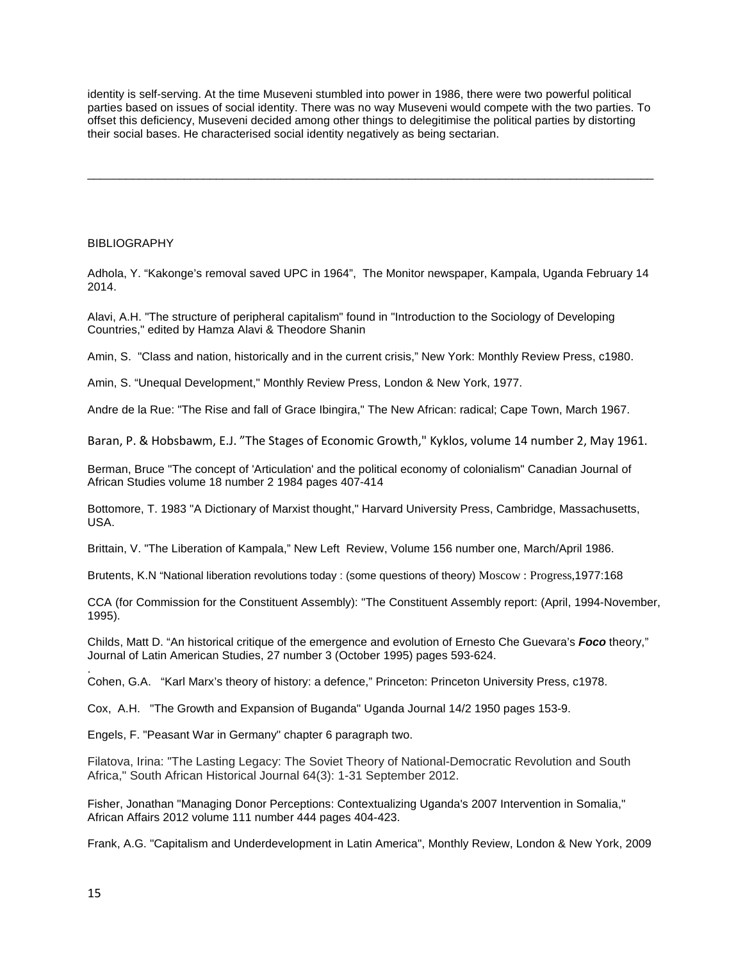identity is self-serving. At the time Museveni stumbled into power in 1986, there were two powerful political parties based on issues of social identity. There was no way Museveni would compete with the two parties. To offset this deficiency, Museveni decided among other things to delegitimise the political parties by distorting their social bases. He characterised social identity negatively as being sectarian.

\_\_\_\_\_\_\_\_\_\_\_\_\_\_\_\_\_\_\_\_\_\_\_\_\_\_\_\_\_\_\_\_\_\_\_\_\_\_\_\_\_\_\_\_\_\_\_\_\_\_\_\_\_\_\_\_\_\_\_\_\_\_\_\_\_\_\_\_\_\_\_\_\_\_\_\_\_\_\_\_\_\_\_\_\_\_\_\_

#### BIBLIOGRAPHY

Adhola, Y. "Kakonge's removal saved UPC in 1964", The Monitor newspaper, Kampala, Uganda February 14 2014.

Alavi, A.H. "The structure of peripheral capitalism" found in "Introduction to the Sociology of Developing Countries," edited by Hamza Alavi & Theodore Shanin

Amin, S. "Class and nation, historically and in the current crisis," New York: Monthly Review Press, c1980.

Amin, S. "Unequal Development," Monthly Review Press, London & New York, 1977.

Andre de la Rue: "The Rise and fall of Grace Ibingira," The New African: radical; Cape Town, March 1967.

Baran, P. & Hobsbawm, E.J. "The Stages of Economic Growth," Kyklos, volume 14 number 2, May 1961.

Berman, Bruce "The concept of 'Articulation' and the political economy of colonialism" Canadian Journal of African Studies volume 18 number 2 1984 pages 407-414

Bottomore, T. 1983 "A Dictionary of Marxist thought," Harvard University Press, Cambridge, Massachusetts, USA.

Brittain, V. "The Liberation of Kampala," New Left Review, Volume 156 number one, March/April 1986.

Brutents, K.N "National liberation revolutions today : (some questions of theory) Moscow : Progress,1977:168

CCA (for Commission for the Constituent Assembly): "The Constituent Assembly report: (April, 1994-November, 1995).

Childs, Matt D. "An historical critique of the emergence and evolution of Ernesto Che Guevara's *Foco* theory," Journal of Latin American Studies, 27 number 3 (October 1995) pages 593-624.

. Cohen, G.A. "Karl Marx's theory of history: a defence," Princeton: Princeton University Press, c1978.

Cox, A.H. "The Growth and Expansion of Buganda" Uganda Journal 14/2 1950 pages 153-9.

Engels, F. "Peasant War in Germany" chapter 6 paragraph two.

Filatova, Irina: "The Lasting Legacy: The Soviet Theory of National-Democratic Revolution and South Africa," South African Historical Journal 64(3): 1-31 September 2012.

Fisher, Jonathan "Managing Donor Perceptions: Contextualizing Uganda's 2007 Intervention in Somalia," African Affairs 2012 volume 111 number 444 pages 404-423.

Frank, A.G. "Capitalism and Underdevelopment in Latin America", Monthly Review, London & New York, 2009